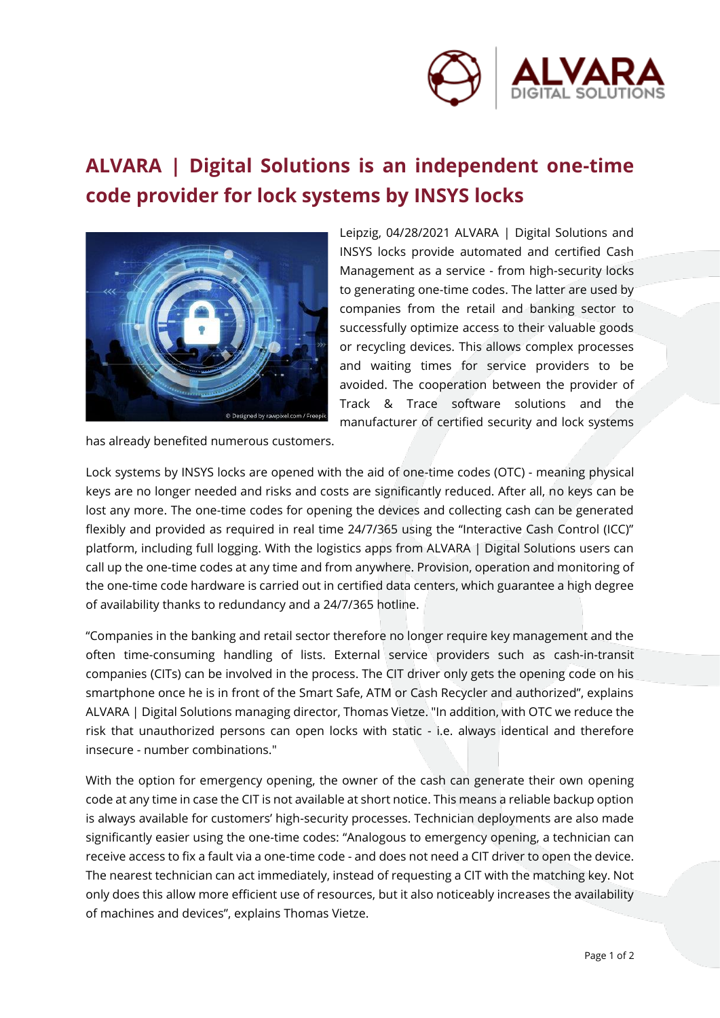

## **ALVARA | Digital Solutions is an independent one-time code provider for lock systems by INSYS locks**



Leipzig, 04/28/2021 ALVARA | Digital Solutions and INSYS locks provide automated and certified Cash Management as a service - from high-security locks to generating one-time codes. The latter are used by companies from the retail and banking sector to successfully optimize access to their valuable goods or recycling devices. This allows complex processes and waiting times for service providers to be avoided. The cooperation between the provider of Track & Trace software solutions and the manufacturer of certified security and lock systems

has already benefited numerous customers.

Lock systems by INSYS locks are opened with the aid of one-time codes (OTC) - meaning physical keys are no longer needed and risks and costs are significantly reduced. After all, no keys can be lost any more. The one-time codes for opening the devices and collecting cash can be generated flexibly and provided as required in real time 24/7/365 using the "Interactive Cash Control (ICC)" platform, including full logging. With the logistics apps from ALVARA | Digital Solutions users can call up the one-time codes at any time and from anywhere. Provision, operation and monitoring of the one-time code hardware is carried out in certified data centers, which guarantee a high degree of availability thanks to redundancy and a 24/7/365 hotline.

"Companies in the banking and retail sector therefore no longer require key management and the often time-consuming handling of lists. External service providers such as cash-in-transit companies (CITs) can be involved in the process. The CIT driver only gets the opening code on his smartphone once he is in front of the Smart Safe, ATM or Cash Recycler and authorized", explains ALVARA | Digital Solutions managing director, Thomas Vietze. "In addition, with OTC we reduce the risk that unauthorized persons can open locks with static - i.e. always identical and therefore insecure - number combinations."

With the option for emergency opening, the owner of the cash can generate their own opening code at any time in case the CIT is not available at short notice. This means a reliable backup option is always available for customers' high-security processes. Technician deployments are also made significantly easier using the one-time codes: "Analogous to emergency opening, a technician can receive access to fix a fault via a one-time code - and does not need a CIT driver to open the device. The nearest technician can act immediately, instead of requesting a CIT with the matching key. Not only does this allow more efficient use of resources, but it also noticeably increases the availability of machines and devices", explains Thomas Vietze.